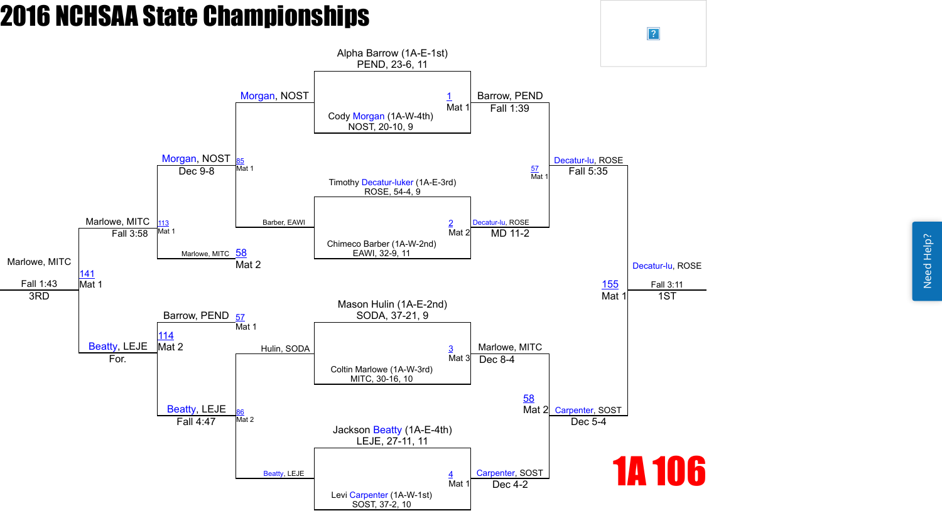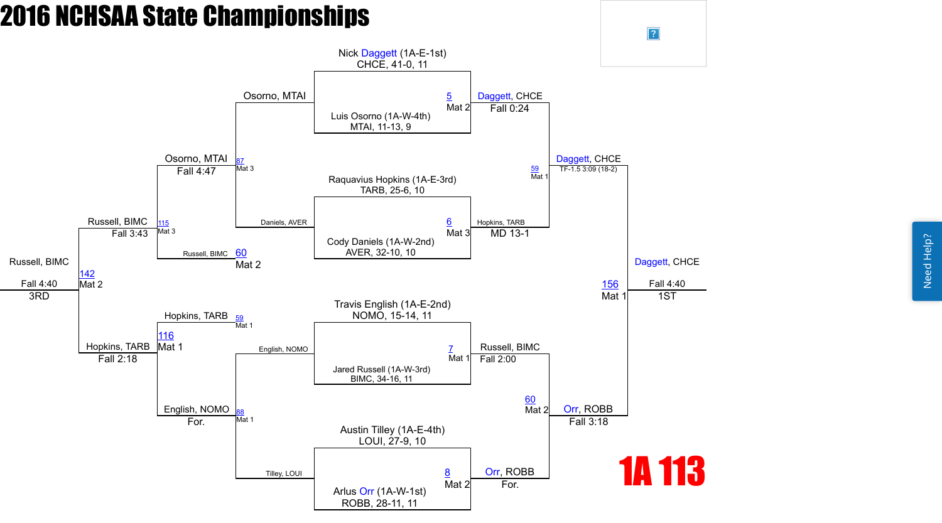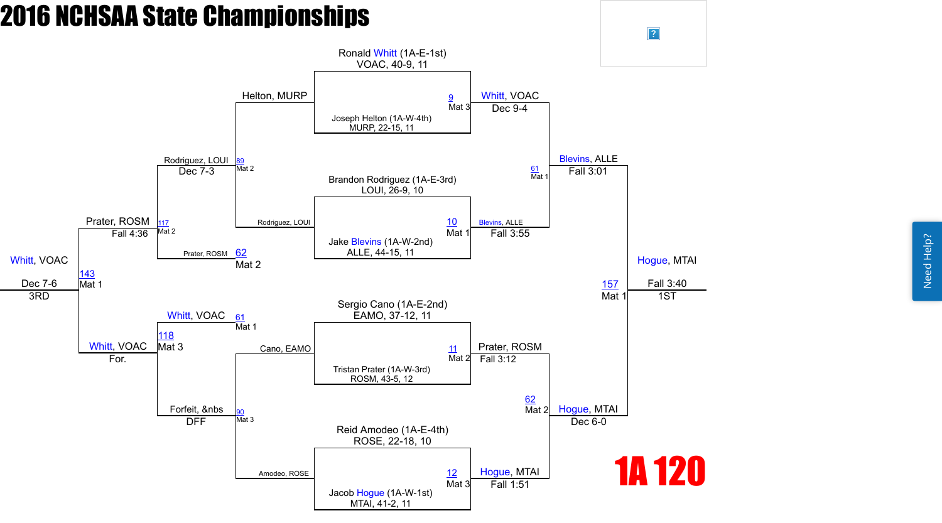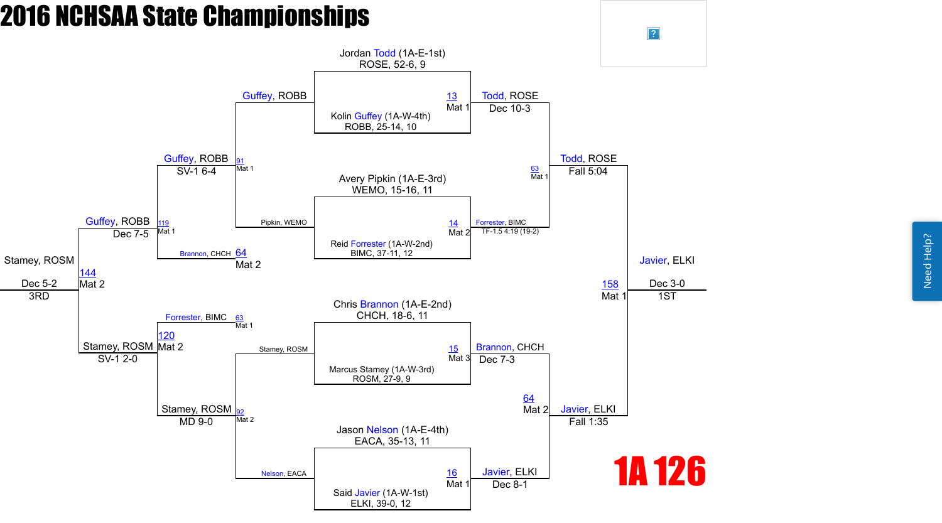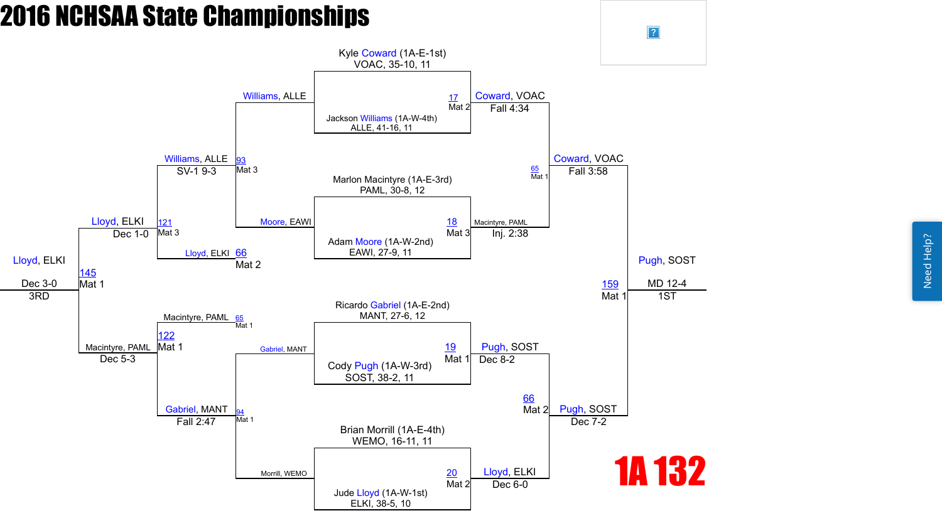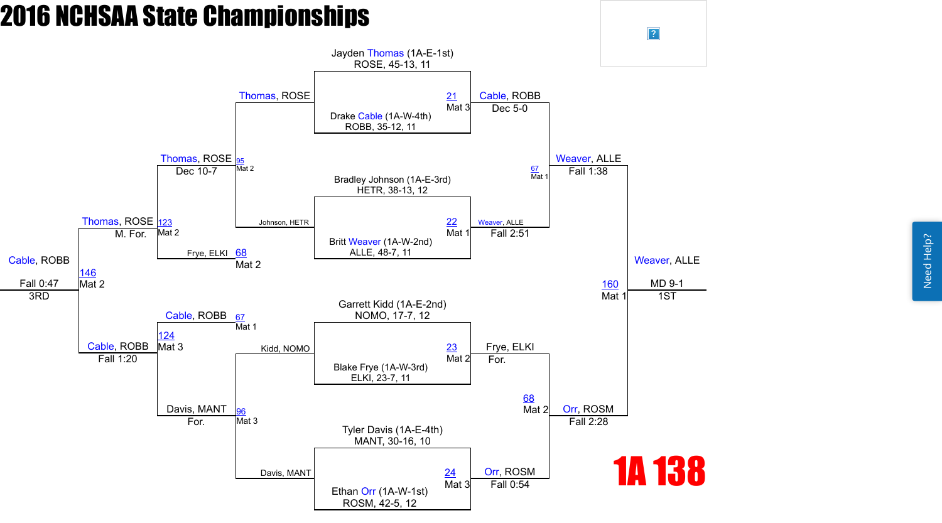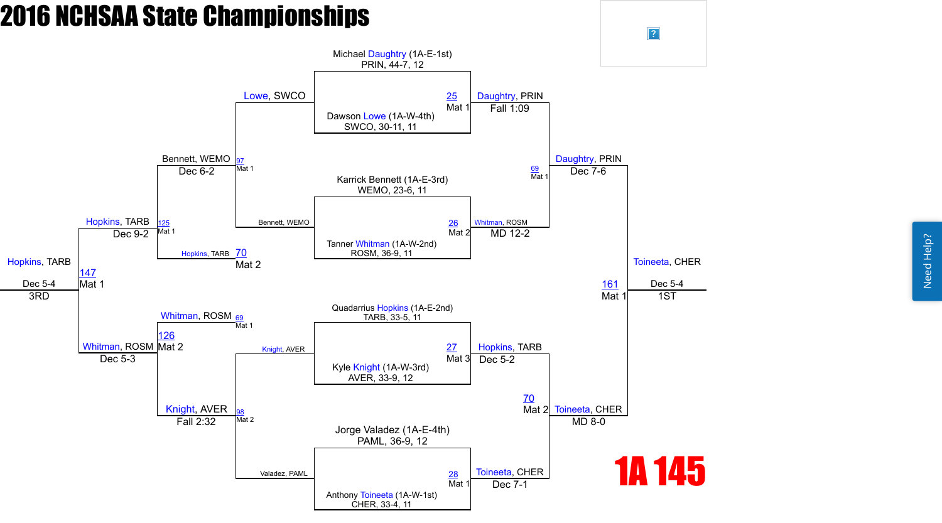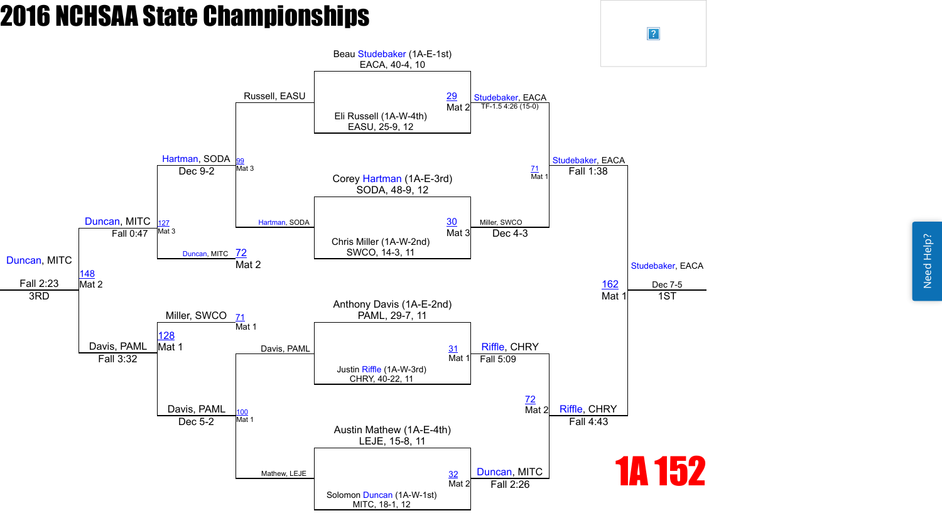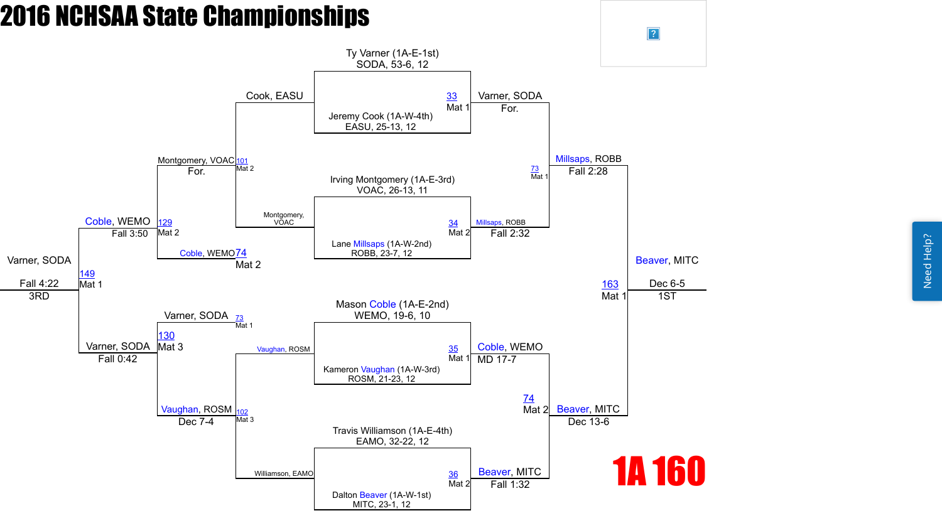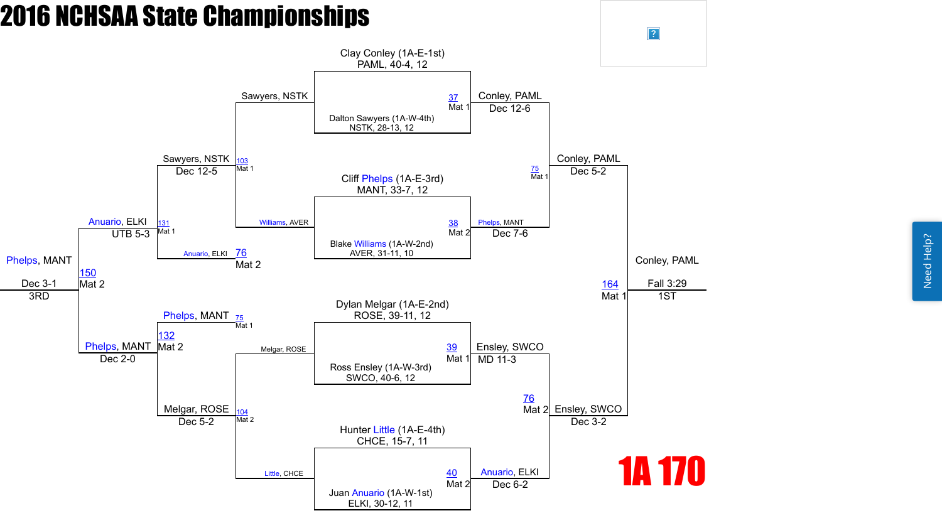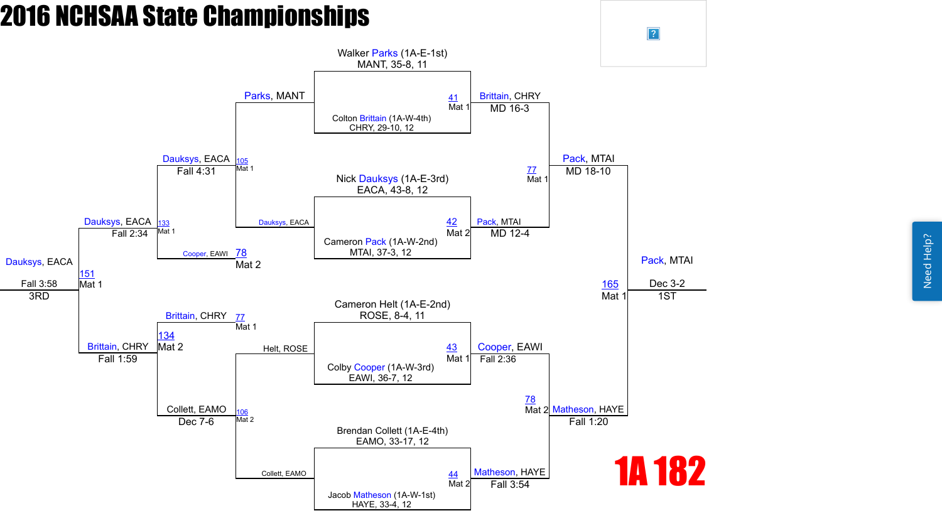Need Help? Need Help?



 $\boxed{?}$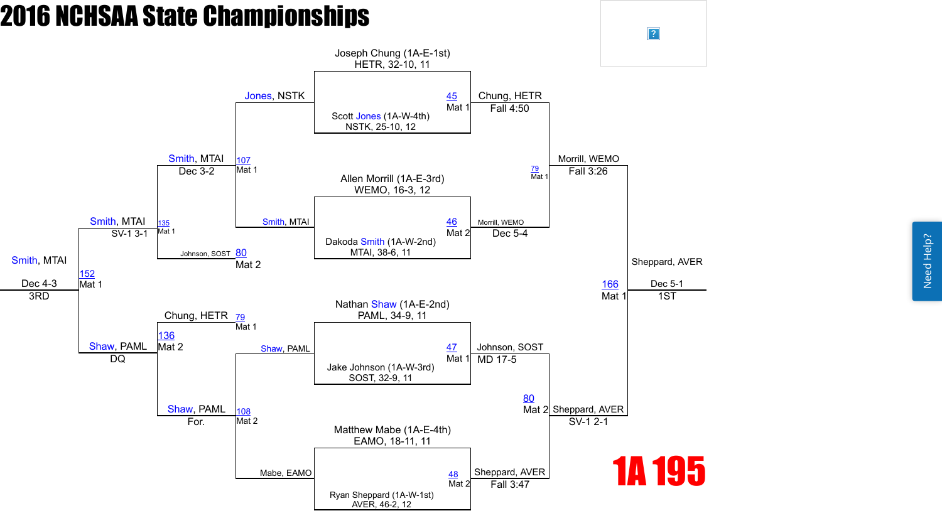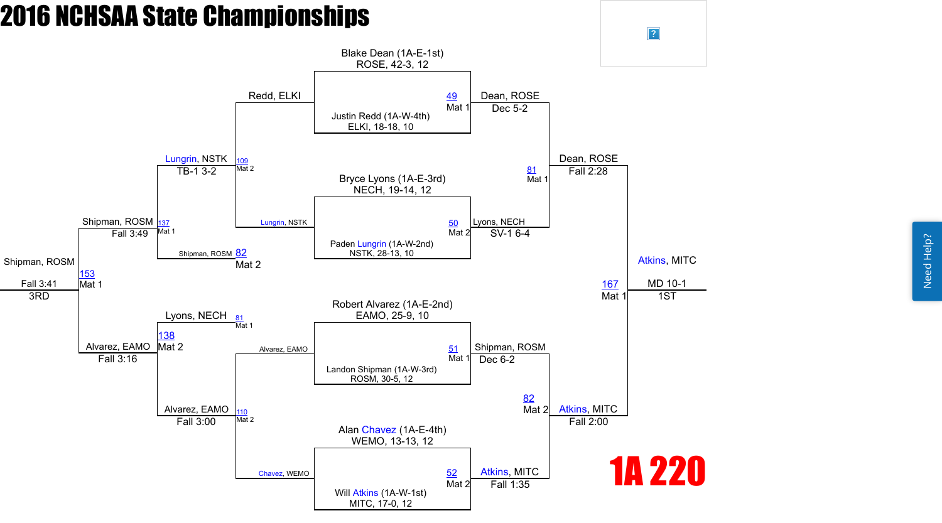Need Help? Need Help?



 $\boxed{?}$